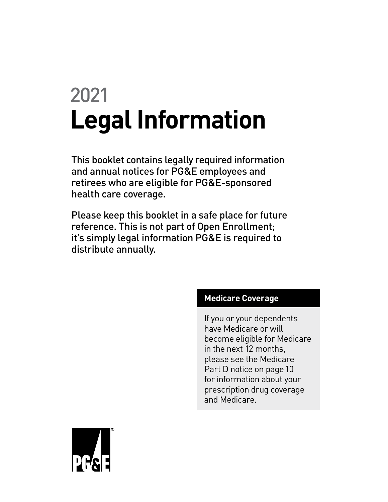# 2021 **Legal Information**

This booklet contains legally required information and annual notices for PG&E employees and retirees who are eligible for PG&E-sponsored health care coverage.

Please keep this booklet in a safe place for future reference. This is not part of Open Enrollment; it's simply legal information PG&E is required to distribute annually.

## **Medicare Coverage**

If you or your dependents have Medicare or will become eligible for Medicare in the next 12 months, please see the Medicare Part D notice on page 10 for information about your prescription drug coverage and Medicare.

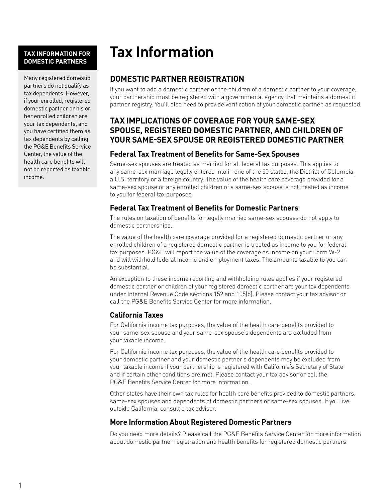#### **TAX INFORMATION FOR DOMESTIC PARTNERS**

Many registered domestic partners do not qualify as tax dependents. However, if your enrolled, registered domestic partner or his or her enrolled children are your tax dependents, and you have certified them as tax dependents by calling the PG&E Benefits Service Center, the value of the health care benefits will not be reported as taxable income.

## **Tax Information**

## **DOMESTIC PARTNER REGISTRATION**

If you want to add a domestic partner or the children of a domestic partner to your coverage, your partnership must be registered with a governmental agency that maintains a domestic partner registry. You'll also need to provide verification of your domestic partner, as requested.

## **TAX IMPLICATIONS OF COVERAGE FOR YOUR SAME-SEX SPOUSE, REGISTERED DOMESTIC PARTNER, AND CHILDREN OF YOUR SAME-SEX SPOUSE OR REGISTERED DOMESTIC PARTNER**

## **Federal Tax Treatment of Benefits for Same-Sex Spouses**

Same-sex spouses are treated as married for all federal tax purposes. This applies to any same-sex marriage legally entered into in one of the 50 states, the District of Columbia, a U.S. territory or a foreign country. The value of the health care coverage provided for a same-sex spouse or any enrolled children of a same-sex spouse is not treated as income to you for federal tax purposes.

## **Federal Tax Treatment of Benefits for Domestic Partners**

The rules on taxation of benefits for legally married same-sex spouses do not apply to domestic partnerships.

The value of the health care coverage provided for a registered domestic partner or any enrolled children of a registered domestic partner is treated as income to you for federal tax purposes. PG&E will report the value of the coverage as income on your Form W-2 and will withhold federal income and employment taxes. The amounts taxable to you can be substantial.

An exception to these income reporting and withholding rules applies if your registered domestic partner or children of your registered domestic partner are your tax dependents under Internal Revenue Code sections 152 and 105(b). Please contact your tax advisor or call the PG&E Benefits Service Center for more information.

## **California Taxes**

For California income tax purposes, the value of the health care benefits provided to your same-sex spouse and your same-sex spouse's dependents are excluded from your taxable income.

For California income tax purposes, the value of the health care benefits provided to your domestic partner and your domestic partner's dependents may be excluded from your taxable income if your partnership is registered with California's Secretary of State and if certain other conditions are met. Please contact your tax advisor or call the PG&E Benefits Service Center for more information.

Other states have their own tax rules for health care benefits provided to domestic partners, same-sex spouses and dependents of domestic partners or same-sex spouses. If you live outside California, consult a tax advisor.

## **More Information About Registered Domestic Partners**

Do you need more details? Please call the PG&E Benefits Service Center for more information about domestic partner registration and health benefits for registered domestic partners.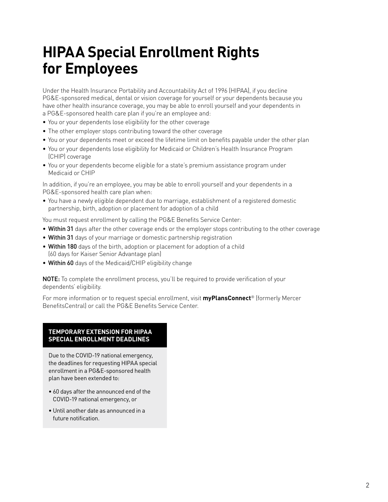## **HIPAA Special Enrollment Rights for Employees**

Under the Health Insurance Portability and Accountability Act of 1996 (HIPAA), if you decline PG&E-sponsored medical, dental or vision coverage for yourself or your dependents because you have other health insurance coverage, you may be able to enroll yourself and your dependents in a PG&E-sponsored health care plan if you're an employee and:

- You or your dependents lose eligibility for the other coverage
- The other employer stops contributing toward the other coverage
- You or your dependents meet or exceed the lifetime limit on benefits payable under the other plan
- You or your dependents lose eligibility for Medicaid or Children's Health Insurance Program (CHIP) coverage
- You or your dependents become eligible for a state's premium assistance program under Medicaid or CHIP

In addition, if you're an employee, you may be able to enroll yourself and your dependents in a PG&E-sponsored health care plan when:

• You have a newly eligible dependent due to marriage, establishment of a registered domestic partnership, birth, adoption or placement for adoption of a child

You must request enrollment by calling the PG&E Benefits Service Center:

- Within 31 days after the other coverage ends or the employer stops contributing to the other coverage
- Within 31 days of your marriage or domestic partnership registration
- Within 180 days of the birth, adoption or placement for adoption of a child (60 days for Kaiser Senior Advantage plan)
- Within 60 days of the Medicaid/CHIP eligibility change

NOTE: To complete the enrollment process, you'll be required to provide verification of your dependents' eligibility.

For more information or to request special enrollment, visit **myPlansConnect**® (formerly Mercer BenefitsCentral) or call the PG&E Benefits Service Center.

#### **TEMPORARY EXTENSION FOR HIPAA SPECIAL ENROLLMENT DEADLINES**

Due to the COVID-19 national emergency, the deadlines for requesting HIPAA special enrollment in a PG&E-sponsored health plan have been extended to:

- 60 days after the announced end of the COVID-19 national emergency, or
- Until another date as announced in a future notification.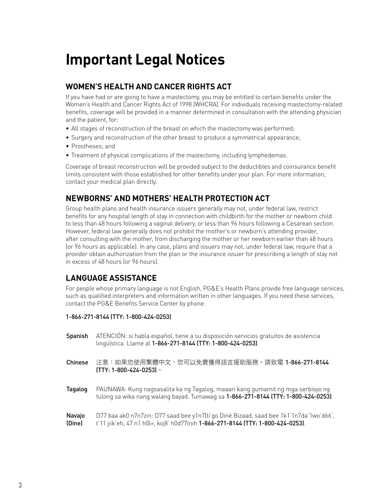## **Important Legal Notices**

## **WOMEN'S HEALTH AND CANCER RIGHTS ACT**

If you have had or are going to have a mastectomy, you may be entitled to certain benefits under the Women's Health and Cancer Rights Act of 1998 (WHCRA). For individuals receiving mastectomy-related benefits, coverage will be provided in a manner determined in consultation with the attending physician and the patient, for:

- All stages of reconstruction of the breast on which the mastectomy was performed;
- Surgery and reconstruction of the other breast to produce a symmetrical appearance;
- Prostheses; and
- Treatment of physical complications of the mastectomy, including lymphedemas.

Coverage of breast reconstruction will be provided subject to the deductibles and coinsurance benefit limits consistent with those established for other benefits under your plan. For more information, contact your medical plan directly.

## **NEWBORNS' AND MOTHERS' HEALTH PROTECTION ACT**

Group health plans and health insurance issuers generally may not, under federal law, restrict benefits for any hospital length of stay in connection with childbirth for the mother or newborn child to less than 48 hours following a vaginal delivery, or less than 96 hours following a Cesarean section. However, federal law generally does not prohibit the mother's or newborn's attending provider, after consulting with the mother, from discharging the mother or her newborn earlier than 48 hours (or 96 hours as applicable). In any case, plans and issuers may not, under federal law, require that a provider obtain authorization from the plan or the insurance issuer for prescribing a length of stay not in excess of 48 hours (or 96 hours).

## **LANGUAGE ASSISTANCE**

For people whose primary language is not English, PG&E's Health Plans provide free language services, such as qualified interpreters and information written in other languages. If you need these services, contact the PG&E Benefits Service Center by phone:

#### 1-866-271-8144 (TTY: 1-800-424-0253)

| Spanish          | ATENCIÓN: si habla español, tiene a su disposición servicios gratuitos de asistencia<br>lingüística. Llame al 1-866-271-8144 (TTY: 1-800-424-0253).                       |
|------------------|---------------------------------------------------------------------------------------------------------------------------------------------------------------------------|
| Chinese          | 注意:如果您使用繁體中文,您可以免費獲得語言援助服務。請致電 1-866-271-8144<br>[TTY: 1-800-424-0253] $\circ$                                                                                            |
| Tagalog          | PAUNAWA: Kung nagsasalita ka ng Tagalog, maaari kang gumamit ng mga serbisyo ng<br>tulong sa wika nang walang bayad. Tumawag sa 1-866-271-8144 (TTY: 1-800-424-0253).     |
| Navajo<br>(Dine) | D77 baa ak0 n7n7zin: D77 saad bee y1n7[ti'go Diné Bizaad, saad bee 1k1'1n7da'1wo'd66',<br>t'11 jiik'eh, 47 n1 h0l=, koj8' h0d77lnih 1-866-271-8144 (TTY: 1-800-424-0253). |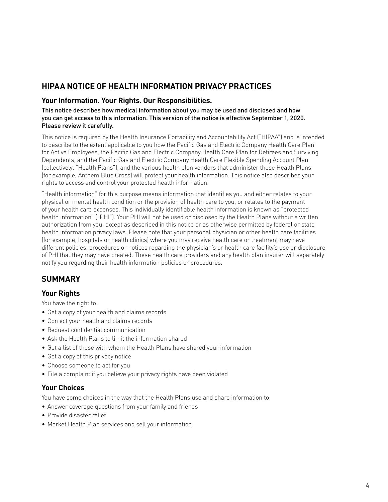## **HIPAA NOTICE OF HEALTH INFORMATION PRIVACY PRACTICES**

#### **Your Information. Your Rights. Our Responsibilities.**

This notice describes how medical information about you may be used and disclosed and how you can get access to this information. This version of the notice is effective September 1, 2020. Please review it carefully.

This notice is required by the Health Insurance Portability and Accountability Act ("HIPAA") and is intended to describe to the extent applicable to you how the Pacific Gas and Electric Company Health Care Plan for Active Employees, the Pacific Gas and Electric Company Health Care Plan for Retirees and Surviving Dependents, and the Pacific Gas and Electric Company Health Care Flexible Spending Account Plan (collectively, "Health Plans"), and the various health plan vendors that administer these Health Plans (for example, Anthem Blue Cross) will protect your health information. This notice also describes your rights to access and control your protected health information.

"Health information" for this purpose means information that identifies you and either relates to your physical or mental health condition or the provision of health care to you, or relates to the payment of your health care expenses. This individually identifiable health information is known as "protected health information" ("PHI"). Your PHI will not be used or disclosed by the Health Plans without a written authorization from you, except as described in this notice or as otherwise permitted by federal or state health information privacy laws. Please note that your personal physician or other health care facilities (for example, hospitals or health clinics) where you may receive health care or treatment may have different policies, procedures or notices regarding the physician's or health care facility's use or disclosure of PHI that they may have created. These health care providers and any health plan insurer will separately notify you regarding their health information policies or procedures.

## **SUMMARY**

### **Your Rights**

You have the right to:

- Get a copy of your health and claims records
- Correct your health and claims records
- Request confidential communication
- Ask the Health Plans to limit the information shared
- Get a list of those with whom the Health Plans have shared your information
- Get a copy of this privacy notice
- Choose someone to act for you
- File a complaint if you believe your privacy rights have been violated

#### **Your Choices**

You have some choices in the way that the Health Plans use and share information to:

- Answer coverage questions from your family and friends
- Provide disaster relief
- Market Health Plan services and sell your information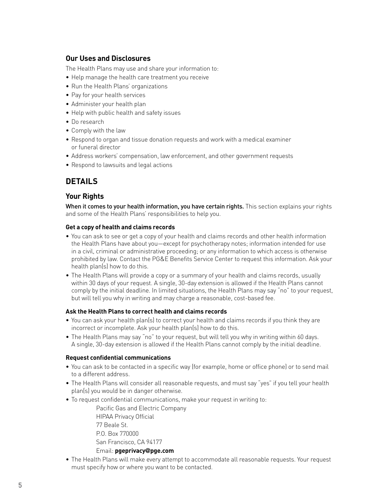### **Our Uses and Disclosures**

The Health Plans may use and share your information to:

- Help manage the health care treatment you receive
- Run the Health Plans' organizations
- Pay for your health services
- Administer your health plan
- Help with public health and safety issues
- Do research
- Comply with the law
- Respond to organ and tissue donation requests and work with a medical examiner or funeral director
- Address workers' compensation, law enforcement, and other government requests
- Respond to lawsuits and legal actions

## **DETAILS**

#### **Your Rights**

When it comes to your health information, you have certain rights. This section explains your rights and some of the Health Plans' responsibilities to help you.

#### **Get a copy of health and claims records**

- You can ask to see or get a copy of your health and claims records and other health information the Health Plans have about you—except for psychotherapy notes; information intended for use in a civil, criminal or administrative proceeding; or any information to which access is otherwise prohibited by law. Contact the PG&E Benefits Service Center to request this information. Ask your health plan(s) how to do this.
- The Health Plans will provide a copy or a summary of your health and claims records, usually within 30 days of your request. A single, 30-day extension is allowed if the Health Plans cannot comply by the initial deadline. In limited situations, the Health Plans may say "no" to your request, but will tell you why in writing and may charge a reasonable, cost-based fee.

#### **Ask the Health Plans to correct health and claims records**

- You can ask your health plan(s) to correct your health and claims records if you think they are incorrect or incomplete. Ask your health plan(s) how to do this.
- The Health Plans may say "no" to your request, but will tell you why in writing within 60 days. A single, 30-day extension is allowed if the Health Plans cannot comply by the initial deadline.

#### **Request confidential communications**

- You can ask to be contacted in a specific way (for example, home or office phone) or to send mail to a different address.
- The Health Plans will consider all reasonable requests, and must say "yes" if you tell your health plan(s) you would be in danger otherwise.
- To request confidential communications, make your request in writing to:

Pacific Gas and Electric Company

HIPAA Privacy Official

77 Beale St.

P.O. Box 770000

San Francisco, CA 94177

Email: **pgeprivacy@pge.com**

• The Health Plans will make every attempt to accommodate all reasonable requests. Your request must specify how or where you want to be contacted.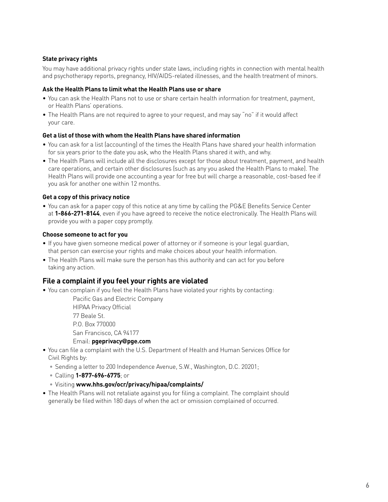#### **State privacy rights**

You may have additional privacy rights under state laws, including rights in connection with mental health and psychotherapy reports, pregnancy, HIV/AIDS-related illnesses, and the health treatment of minors.

#### **Ask the Health Plans to limit what the Health Plans use or share**

- You can ask the Health Plans not to use or share certain health information for treatment, payment, or Health Plans' operations.
- The Health Plans are not required to agree to your request, and may say "no" if it would affect your care.

#### **Get a list of those with whom the Health Plans have shared information**

- You can ask for a list (accounting) of the times the Health Plans have shared your health information for six years prior to the date you ask, who the Health Plans shared it with, and why.
- The Health Plans will include all the disclosures except for those about treatment, payment, and health care operations, and certain other disclosures (such as any you asked the Health Plans to make). The Health Plans will provide one accounting a year for free but will charge a reasonable, cost-based fee if you ask for another one within 12 months.

#### **Get a copy of this privacy notice**

• You can ask for a paper copy of this notice at any time by calling the PG&E Benefits Service Center at **1-866-271-8144**, even if you have agreed to receive the notice electronically. The Health Plans will provide you with a paper copy promptly.

#### **Choose someone to act for you**

- If you have given someone medical power of attorney or if someone is your legal guardian, that person can exercise your rights and make choices about your health information.
- The Health Plans will make sure the person has this authority and can act for you before taking any action.

#### **File a complaint if you feel your rights are violated**

• You can complain if you feel the Health Plans have violated your rights by contacting:

Pacific Gas and Electric Company HIPAA Privacy Official 77 Beale St. P.O. Box 770000 San Francisco, CA 94177 Email: **pgeprivacy@pge.com**

- You can file a complaint with the U.S. Department of Health and Human Services Office for Civil Rights by:
	- Sending a letter to 200 Independence Avenue, S.W., Washington, D.C. 20201;
	- Calling **1-877-696-6775**; or
	- Visiting **www.hhs.gov/ocr/privacy/hipaa/complaints/**
- The Health Plans will not retaliate against you for filing a complaint. The complaint should generally be filed within 180 days of when the act or omission complained of occurred.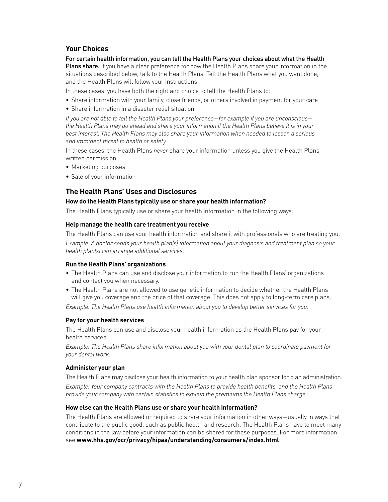### **Your Choices**

For certain health information, you can tell the Health Plans your choices about what the Health Plans share. If you have a clear preference for how the Health Plans share your information in the situations described below, talk to the Health Plans. Tell the Health Plans what you want done, and the Health Plans will follow your instructions.

In these cases, you have both the right and choice to tell the Health Plans to:

- Share information with your family, close friends, or others involved in payment for your care
- Share information in a disaster relief situation

*If you are not able to tell the Health Plans your preference—for example if you are unconscious the Health Plans may go ahead and share your information if the Health Plans believe it is in your best interest. The Health Plans may also share your information when needed to lessen a serious and imminent threat to health or safety.*

In these cases, the Health Plans *never* share your information unless you give the Health Plans written permission:

- Marketing purposes
- Sale of your information

### **The Health Plans' Uses and Disclosures**

#### **How do the Health Plans typically use or share your health information?**

The Health Plans typically use or share your health information in the following ways:

#### **Help manage the health care treatment you receive**

The Health Plans can use your health information and share it with professionals who are treating you. *Example: A doctor sends your health plan(s) information about your diagnosis and treatment plan so your health plan(s) can arrange additional services.*

#### **Run the Health Plans' organizations**

- The Health Plans can use and disclose your information to run the Health Plans' organizations and contact you when necessary.
- The Health Plans are not allowed to use genetic information to decide whether the Health Plans will give you coverage and the price of that coverage. This does not apply to long-term care plans.

*Example: The Health Plans use health information about you to develop better services for you.*

#### **Pay for your health services**

The Health Plans can use and disclose your health information as the Health Plans pay for your health services.

*Example: The Health Plans share information about you with your dental plan to coordinate payment for your dental work.*

#### **Administer your plan**

The Health Plans may disclose your health information to your health plan sponsor for plan administration.

*Example: Your company contracts with the Health Plans to provide health benefits, and the Health Plans provide your company with certain statistics to explain the premiums the Health Plans charge.*

#### **How else can the Health Plans use or share your health information?**

The Health Plans are allowed or required to share your information in other ways—usually in ways that contribute to the public good, such as public health and research. The Health Plans have to meet many conditions in the law before your information can be shared for these purposes. For more information, see **www.hhs.gov/ocr/privacy/hipaa/understanding/consumers/index.html**.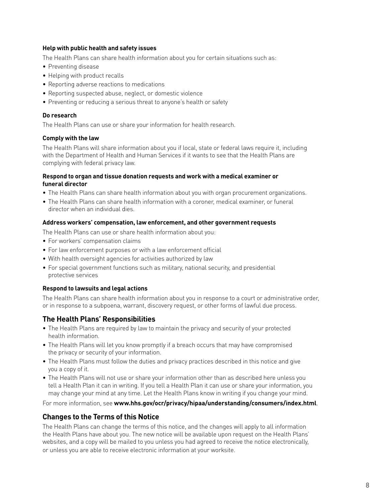#### **Help with public health and safety issues**

The Health Plans can share health information about you for certain situations such as:

- Preventing disease
- Helping with product recalls
- Reporting adverse reactions to medications
- Reporting suspected abuse, neglect, or domestic violence
- Preventing or reducing a serious threat to anyone's health or safety

#### **Do research**

The Health Plans can use or share your information for health research.

#### **Comply with the law**

The Health Plans will share information about you if local, state or federal laws require it, including with the Department of Health and Human Services if it wants to see that the Health Plans are complying with federal privacy law.

#### **Respond to organ and tissue donation requests and work with a medical examiner or funeral director**

- The Health Plans can share health information about you with organ procurement organizations.
- The Health Plans can share health information with a coroner, medical examiner, or funeral director when an individual dies.

#### **Address workers' compensation, law enforcement, and other government requests**

The Health Plans can use or share health information about you:

- For workers' compensation claims
- For law enforcement purposes or with a law enforcement official
- With health oversight agencies for activities authorized by law
- For special government functions such as military, national security, and presidential protective services

#### **Respond to lawsuits and legal actions**

The Health Plans can share health information about you in response to a court or administrative order, or in response to a subpoena, warrant, discovery request, or other forms of lawful due process.

#### **The Health Plans' Responsibilities**

- The Health Plans are required by law to maintain the privacy and security of your protected health information.
- The Health Plans will let you know promptly if a breach occurs that may have compromised the privacy or security of your information.
- The Health Plans must follow the duties and privacy practices described in this notice and give you a copy of it.
- The Health Plans will not use or share your information other than as described here unless you tell a Health Plan it can in writing. If you tell a Health Plan it can use or share your information, you may change your mind at any time. Let the Health Plans know in writing if you change your mind.

For more information, see **www.hhs.gov/ocr/privacy/hipaa/understanding/consumers/index.html**.

#### **Changes to the Terms of this Notice**

The Health Plans can change the terms of this notice, and the changes will apply to all information the Health Plans have about you. The new notice will be available upon request on the Health Plans' websites, and a copy will be mailed to you unless you had agreed to receive the notice electronically, or unless you are able to receive electronic information at your worksite.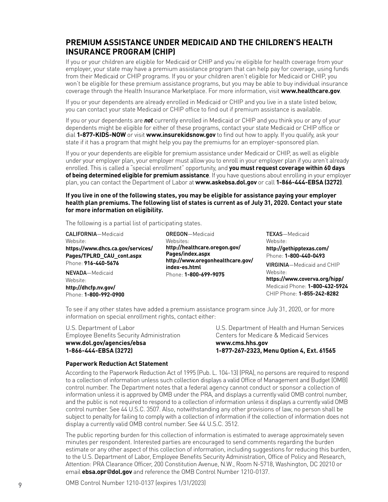## **PREMIUM ASSISTANCE UNDER MEDICAID AND THE CHILDREN'S HEALTH INSURANCE PROGRAM (CHIP)**

If you or your children are eligible for Medicaid or CHIP and you're eligible for health coverage from your employer, your state may have a premium assistance program that can help pay for coverage, using funds from their Medicaid or CHIP programs. If you or your children aren't eligible for Medicaid or CHIP, you won't be eligible for these premium assistance programs, but you may be able to buy individual insurance coverage through the Health Insurance Marketplace. For more information, visit **www.healthcare.gov**.

If you or your dependents are already enrolled in Medicaid or CHIP and you live in a state listed below, you can contact your state Medicaid or CHIP office to find out if premium assistance is available.

If you or your dependents are *not* currently enrolled in Medicaid or CHIP and you think you or any of your dependents might be eligible for either of these programs, contact your state Medicaid or CHIP office or dial **1-877-KIDS-NOW** or visit **www.insurekidsnow.gov** to find out how to apply. If you qualify, ask your state if it has a program that might help you pay the premiums for an employer-sponsored plan.

If you or your dependents are eligible for premium assistance under Medicaid or CHIP, as well as eligible under your employer plan, your employer must allow you to enroll in your employer plan if you aren't already enrolled. This is called a "special enrollment" opportunity, and **you must request coverage within 60 days of being determined eligible for premium assistance**. If you have questions about enrolling in your employer plan, you can contact the Department of Labor at **www.askebsa.dol.gov** or call **1-866-444-EBSA (3272)**.

#### **If you live in one of the following states, you may be eligible for assistance paying your employer health plan premiums. The following list of states is current as of July 31, 2020. Contact your state for more information on eligibility.**

The following is a partial list of participating states.

CALIFORNIA—Medicaid Website: **https://www.dhcs.ca.gov/services/ Pages/TPLRD\_CAU\_cont.aspx** Phone: **916-440-5676** NEVADA—Medicaid

Website: **http://dhcfp.nv.gov/**  Phone: **1-800-992-0900** OREGON—Medicaid Websites: **http://healthcare.oregon.gov/ Pages/index.aspx http://www.oregonhealthcare.gov/ index-es.html** Phone: **1-800-699-9075**

TEXAS—Medicaid Website: **http://gethipptexas.com/** Phone: **1-800-440-0493**  VIRGINIA—Medicaid and CHIP Website: **https://www.coverva.org/hipp/** Medicaid Phone: **1-800-432-5924**

CHIP Phone: **1-855-242-8282**

To see if any other states have added a premium assistance program since July 31, 2020, or for more information on special enrollment rights, contact either:

Employee Benefits Security Administration Centers for Medicare & Medicaid Services **www.dol.gov/agencies/ebsa www.cms.hhs.gov 1-866-444-EBSA (3272) 1-877-267-2323, Menu Option 4, Ext. 61565**

U.S. Department of Labor U.S. Department of Health and Human Services

#### **Paperwork Reduction Act Statement**

According to the Paperwork Reduction Act of 1995 (Pub. L. 104-13) (PRA), no persons are required to respond to a collection of information unless such collection displays a valid Office of Management and Budget (OMB) control number. The Department notes that a federal agency cannot conduct or sponsor a collection of information unless it is approved by OMB under the PRA, and displays a currently valid OMB control number, and the public is not required to respond to a collection of information unless it displays a currently valid OMB control number. See 44 U.S.C. 3507. Also, notwithstanding any other provisions of law, no person shall be subject to penalty for failing to comply with a collection of information if the collection of information does not display a currently valid OMB control number. See 44 U.S.C. 3512.

The public reporting burden for this collection of information is estimated to average approximately seven minutes per respondent. Interested parties are encouraged to send comments regarding the burden estimate or any other aspect of this collection of information, including suggestions for reducing this burden, to the U.S. Department of Labor, Employee Benefits Security Administration, Office of Policy and Research, Attention: PRA Clearance Officer, 200 Constitution Avenue, N.W., Room N-5718, Washington, DC 20210 or email **ebsa.opr**@**dol.gov** and reference the OMB Control Number 1210-0137.

OMB Control Number 1210-0137 (expires 1/31/2023)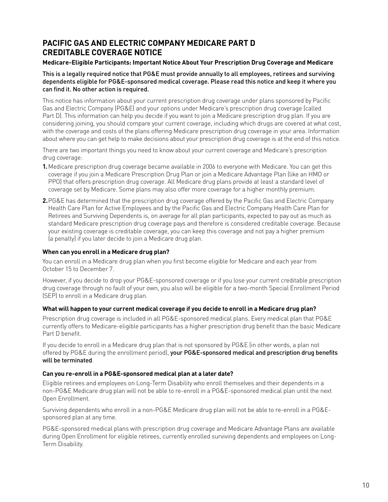## **PACIFIC GAS AND ELECTRIC COMPANY MEDICARE PART D CREDITABLE COVERAGE NOTICE**

#### **Medicare-Eligible Participants: Important Notice About Your Prescription Drug Coverage and Medicare**

#### This is a legally required notice that PG&E must provide annually to all employees, retirees and surviving dependents eligible for PG&E-sponsored medical coverage. Please read this notice and keep it where you can find it. No other action is required.

This notice has information about your current prescription drug coverage under plans sponsored by Pacific Gas and Electric Company (PG&E) and your options under Medicare's prescription drug coverage (called Part D). This information can help you decide if you want to join a Medicare prescription drug plan. If you are considering joining, you should compare your current coverage, including which drugs are covered at what cost, with the coverage and costs of the plans offering Medicare prescription drug coverage in your area. Information about where you can get help to make decisions about your prescription drug coverage is at the end of this notice.

There are two important things you need to know about your current coverage and Medicare's prescription drug coverage:

- **1.**Medicare prescription drug coverage became available in 2006 to everyone with Medicare. You can get this coverage if you join a Medicare Prescription Drug Plan or join a Medicare Advantage Plan (like an HMO or PPO) that offers prescription drug coverage. All Medicare drug plans provide at least a standard level of coverage set by Medicare. Some plans may also offer more coverage for a higher monthly premium.
- **2.**PG&E has determined that the prescription drug coverage offered by the Pacific Gas and Electric Company Health Care Plan for Active Employees and by the Pacific Gas and Electric Company Health Care Plan for Retirees and Surviving Dependents is, on average for all plan participants, expected to pay out as much as standard Medicare prescription drug coverage pays and therefore is considered creditable coverage. Because your existing coverage is creditable coverage, you can keep this coverage and not pay a higher premium (a penalty) if you later decide to join a Medicare drug plan.

#### **When can you enroll in a Medicare drug plan?**

You can enroll in a Medicare drug plan when you first become eligible for Medicare and each year from October 15 to December 7.

However, if you decide to drop your PG&E-sponsored coverage or if you lose your current creditable prescription drug coverage through no fault of your own, you also will be eligible for a two-month Special Enrollment Period (SEP) to enroll in a Medicare drug plan.

#### **What will happen to your current medical coverage if you decide to enroll in a Medicare drug plan?**

Prescription drug coverage is included in all PG&E-sponsored medical plans. Every medical plan that PG&E currently offers to Medicare-eligible participants has a higher prescription drug benefit than the basic Medicare Part D benefit.

If you decide to enroll in a Medicare drug plan that is not sponsored by PG&E (in other words, a plan not offered by PG&E during the enrollment period), your PG&E-sponsored medical and prescription drug benefits will be terminated.

#### **Can you re-enroll in a PG&E-sponsored medical plan at a later date?**

Eligible retirees and employees on Long-Term Disability who enroll themselves and their dependents in a non-PG&E Medicare drug plan will not be able to re-enroll in a PG&E-sponsored medical plan until the next Open Enrollment.

Surviving dependents who enroll in a non-PG&E Medicare drug plan will not be able to re-enroll in a PG&Esponsored plan at any time.

PG&E-sponsored medical plans with prescription drug coverage and Medicare Advantage Plans are available during Open Enrollment for eligible retirees, currently enrolled surviving dependents and employees on Long-Term Disability.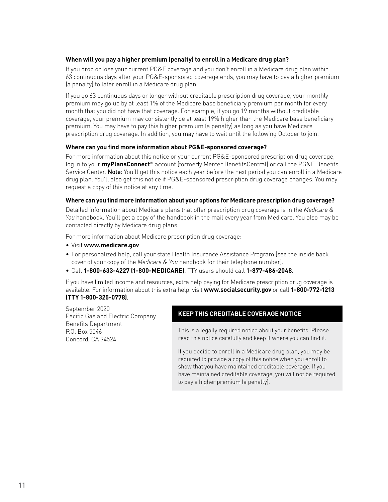#### **When will you pay a higher premium (penalty) to enroll in a Medicare drug plan?**

If you drop or lose your current PG&E coverage and you don't enroll in a Medicare drug plan within 63 continuous days after your PG&E-sponsored coverage ends, you may have to pay a higher premium (a penalty) to later enroll in a Medicare drug plan.

If you go 63 continuous days or longer without creditable prescription drug coverage, your monthly premium may go up by at least 1% of the Medicare base beneficiary premium per month for every month that you did not have that coverage. For example, if you go 19 months without creditable coverage, your premium may consistently be at least 19% higher than the Medicare base beneficiary premium. You may have to pay this higher premium (a penalty) as long as you have Medicare prescription drug coverage. In addition, you may have to wait until the following October to join.

#### **Where can you find more information about PG&E-sponsored coverage?**

For more information about this notice or your current PG&E-sponsored prescription drug coverage, log in to your **myPlansConnect**® account (formerly Mercer BenefitsCentral) or call the PG&E Benefits Service Center. Note: You'll get this notice each year before the next period you can enroll in a Medicare drug plan. You'll also get this notice if PG&E-sponsored prescription drug coverage changes. You may request a copy of this notice at any time.

#### **Where can you find more information about your options for Medicare prescription drug coverage?**

Detailed information about Medicare plans that offer prescription drug coverage is in the *Medicare & You* handbook. You'll get a copy of the handbook in the mail every year from Medicare. You also may be contacted directly by Medicare drug plans.

For more information about Medicare prescription drug coverage:

- Visit **www.medicare.gov**.
- For personalized help, call your state Health Insurance Assistance Program (see the inside back cover of your copy of the *Medicare & You* handbook for their telephone number).
- Call **1-800-633-4227 (1-800-MEDICARE)**. TTY users should call **1-877-486-2048**.

If you have limited income and resources, extra help paying for Medicare prescription drug coverage is available. For information about this extra help, visit **www.socialsecurity.gov** or call **1-800-772-1213 (TTY 1-800-325-0778)**.

September 2020 Pacific Gas and Electric Company Benefits Department P.O. Box 5546 Concord, CA 94524

#### **KEEP THIS CREDITABLE COVERAGE NOTICE**

This is a legally required notice about your benefits. Please read this notice carefully and keep it where you can find it.

If you decide to enroll in a Medicare drug plan, you may be required to provide a copy of this notice when you enroll to show that you have maintained creditable coverage. If you have maintained creditable coverage, you will not be required to pay a higher premium (a penalty).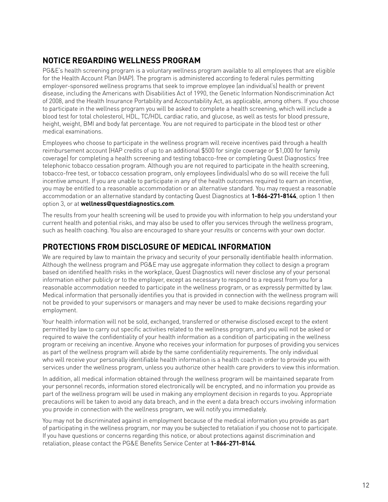## **NOTICE REGARDING WELLNESS PROGRAM**

PG&E's health screening program is a voluntary wellness program available to all employees that are eligible for the Health Account Plan (HAP). The program is administered according to federal rules permitting employer-sponsored wellness programs that seek to improve employee (an individual's) health or prevent disease, including the Americans with Disabilities Act of 1990, the Genetic Information Nondiscrimination Act of 2008, and the Health Insurance Portability and Accountability Act, as applicable, among others. If you choose to participate in the wellness program you will be asked to complete a health screening, which will include a blood test for total cholesterol, HDL, TC/HDL cardiac ratio, and glucose, as well as tests for blood pressure, height, weight, BMI and body fat percentage. You are not required to participate in the blood test or other medical examinations.

Employees who choose to participate in the wellness program will receive incentives paid through a health reimbursement account (HAP credits of up to an additional \$500 for single coverage or \$1,000 for family coverage) for completing a health screening and testing tobacco-free or completing Quest Diagnostics' free telephonic tobacco cessation program. Although you are not required to participate in the health screening, tobacco-free test, or tobacco cessation program, only employees (individuals) who do so will receive the full incentive amount. If you are unable to participate in any of the health outcomes required to earn an incentive, you may be entitled to a reasonable accommodation or an alternative standard. You may request a reasonable accommodation or an alternative standard by contacting Quest Diagnostics at **1-866-271-8144**, option 1 then option 3, or at **wellness@questdiagnostics.com**.

The results from your health screening will be used to provide you with information to help you understand your current health and potential risks, and may also be used to offer you services through the wellness program, such as health coaching. You also are encouraged to share your results or concerns with your own doctor.

## **PROTECTIONS FROM DISCLOSURE OF MEDICAL INFORMATION**

We are required by law to maintain the privacy and security of your personally identifiable health information. Although the wellness program and PG&E may use aggregate information they collect to design a program based on identified health risks in the workplace, Quest Diagnostics will never disclose any of your personal information either publicly or to the employer, except as necessary to respond to a request from you for a reasonable accommodation needed to participate in the wellness program, or as expressly permitted by law. Medical information that personally identifies you that is provided in connection with the wellness program will not be provided to your supervisors or managers and may never be used to make decisions regarding your employment.

Your health information will not be sold, exchanged, transferred or otherwise disclosed except to the extent permitted by law to carry out specific activities related to the wellness program, and you will not be asked or required to waive the confidentiality of your health information as a condition of participating in the wellness program or receiving an incentive. Anyone who receives your information for purposes of providing you services as part of the wellness program will abide by the same confidentiality requirements. The only individual who will receive your personally identifiable health information is a health coach in order to provide you with services under the wellness program, unless you authorize other health care providers to view this information.

In addition, all medical information obtained through the wellness program will be maintained separate from your personnel records, information stored electronically will be encrypted, and no information you provide as part of the wellness program will be used in making any employment decision in regards to you. Appropriate precautions will be taken to avoid any data breach, and in the event a data breach occurs involving information you provide in connection with the wellness program, we will notify you immediately.

You may not be discriminated against in employment because of the medical information you provide as part of participating in the wellness program, nor may you be subjected to retaliation if you choose not to participate. If you have questions or concerns regarding this notice, or about protections against discrimination and retaliation, please contact the PG&E Benefits Service Center at **1-866-271-8144**.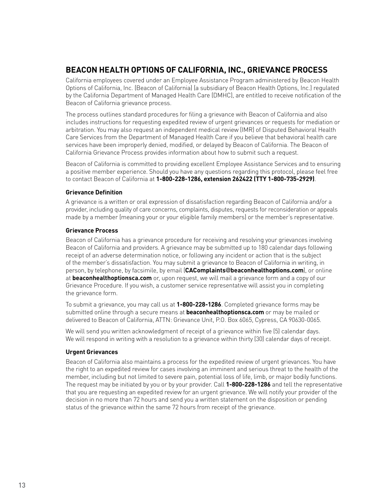## **BEACON HEALTH OPTIONS OF CALIFORNIA, INC., GRIEVANCE PROCESS**

California employees covered under an Employee Assistance Program administered by Beacon Health Options of California, Inc. (Beacon of California) (a subsidiary of Beacon Health Options, Inc.) regulated by the California Department of Managed Health Care (DMHC), are entitled to receive notification of the Beacon of California grievance process.

The process outlines standard procedures for filing a grievance with Beacon of California and also includes instructions for requesting expedited review of urgent grievances or requests for mediation or arbitration. You may also request an independent medical review (IMR) of Disputed Behavioral Health Care Services from the Department of Managed Health Care if you believe that behavioral health care services have been improperly denied, modified, or delayed by Beacon of California. The Beacon of California Grievance Process provides information about how to submit such a request.

Beacon of California is committed to providing excellent Employee Assistance Services and to ensuring a positive member experience. Should you have any questions regarding this protocol, please feel free to contact Beacon of California at **1-800-228-1286, extension 262422 (TTY 1-800-735-2929)**.

#### **Grievance Definition**

A grievance is a written or oral expression of dissatisfaction regarding Beacon of California and/or a provider, including quality of care concerns, complaints, disputes, requests for reconsideration or appeals made by a member (meaning your or your eligible family members) or the member's representative.

#### **Grievance Process**

Beacon of California has a grievance procedure for receiving and resolving your grievances involving Beacon of California and providers. A grievance may be submitted up to 180 calendar days following receipt of an adverse determination notice, or following any incident or action that is the subject of the member's dissatisfaction. You may submit a grievance to Beacon of California in writing, in person, by telephone, by facsimile, by email (**CAComplaints**@**beaconhealthoptions.com**), or online at **beaconhealthoptionsca.com** or, upon request, we will mail a grievance form and a copy of our Grievance Procedure. If you wish, a customer service representative will assist you in completing the grievance form.

To submit a grievance, you may call us at **1-800-228-1286**. Completed grievance forms may be submitted online through a secure means at **beaconhealthoptionsca.com** or may be mailed or delivered to Beacon of California, ATTN: Grievance Unit, P.O. Box 6065, Cypress, CA 90630-0065.

We will send you written acknowledgment of receipt of a grievance within five (5) calendar days. We will respond in writing with a resolution to a grievance within thirty (30) calendar days of receipt.

#### **Urgent Grievances**

Beacon of California also maintains a process for the expedited review of urgent grievances. You have the right to an expedited review for cases involving an imminent and serious threat to the health of the member, including but not limited to severe pain, potential loss of life, limb, or major bodily functions. The request may be initiated by you or by your provider. Call **1-800-228-1286** and tell the representative that you are requesting an expedited review for an urgent grievance. We will notify your provider of the decision in no more than 72 hours and send you a written statement on the disposition or pending status of the grievance within the same 72 hours from receipt of the grievance.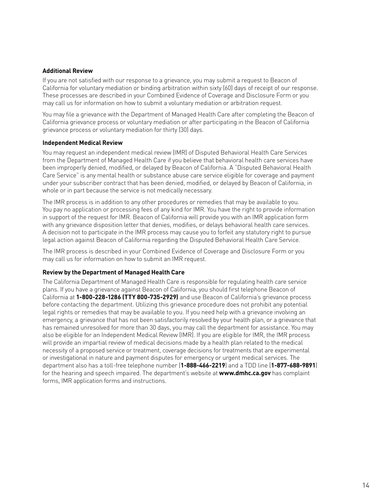#### **Additional Review**

If you are not satisfied with our response to a grievance, you may submit a request to Beacon of California for voluntary mediation or binding arbitration within sixty (60) days of receipt of our response. These processes are described in your Combined Evidence of Coverage and Disclosure Form or you may call us for information on how to submit a voluntary mediation or arbitration request.

You may file a grievance with the Department of Managed Health Care after completing the Beacon of California grievance process or voluntary mediation or after participating in the Beacon of California grievance process or voluntary mediation for thirty (30) days.

#### **Independent Medical Review**

You may request an independent medical review (IMR) of Disputed Behavioral Health Care Services from the Department of Managed Health Care if you believe that behavioral health care services have been improperly denied, modified, or delayed by Beacon of California. A "Disputed Behavioral Health Care Service" is any mental health or substance abuse care service eligible for coverage and payment under your subscriber contract that has been denied, modified, or delayed by Beacon of California, in whole or in part because the service is not medically necessary.

The IMR process is in addition to any other procedures or remedies that may be available to you. You pay no application or processing fees of any kind for IMR. You have the right to provide information in support of the request for IMR. Beacon of California will provide you with an IMR application form with any grievance disposition letter that denies, modifies, or delays behavioral health care services. A decision not to participate in the IMR process may cause you to forfeit any statutory right to pursue legal action against Beacon of California regarding the Disputed Behavioral Health Care Service.

The IMR process is described in your Combined Evidence of Coverage and Disclosure Form or you may call us for information on how to submit an IMR request.

#### **Review by the Department of Managed Health Care**

The California Department of Managed Health Care is responsible for regulating health care service plans. If you have a grievance against Beacon of California, you should first telephone Beacon of California at **1-800-228-1286 (TTY 800-735-2929)** and use Beacon of California's grievance process before contacting the department. Utilizing this grievance procedure does not prohibit any potential legal rights or remedies that may be available to you. If you need help with a grievance involving an emergency, a grievance that has not been satisfactorily resolved by your health plan, or a grievance that has remained unresolved for more than 30 days, you may call the department for assistance. You may also be eligible for an Independent Medical Review (IMR). If you are eligible for IMR, the IMR process will provide an impartial review of medical decisions made by a health plan related to the medical necessity of a proposed service or treatment, coverage decisions for treatments that are experimental or investigational in nature and payment disputes for emergency or urgent medical services. The department also has a toll-free telephone number (**1-888-466-2219**) and a TDD line (**1-877-688-9891**) for the hearing and speech impaired. The department's website at **www.dmhc.ca.gov** has complaint forms, IMR application forms and instructions.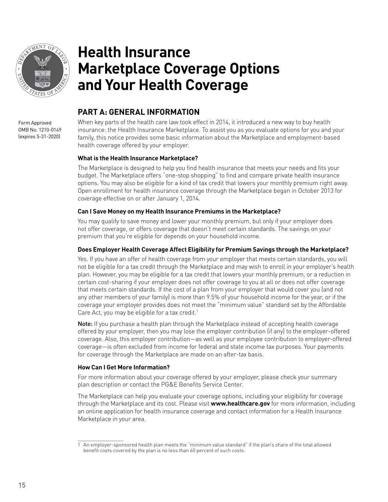

Form Approved OMB No. 1210-0149 (expires 5-31-2020)

## **Health Insurance Marketplace Coverage Options and Your Health Coverage**

## **PART A: GENERAL INFORMATION**

When key parts of the health care law took effect in 2014, it introduced a new way to buy health insurance: the Health Insurance Marketplace. To assist you as you evaluate options for you and your family, this notice provides some basic information about the Marketplace and employment-based health coverage offered by your employer.

#### **What is the Health Insurance Marketplace?**

The Marketplace is designed to help you find health insurance that meets your needs and fits your budget. The Marketplace offers "one-stop shopping" to find and compare private health insurance options. You may also be eligible for a kind of tax credit that lowers your monthly premium right away. Open enrollment for health insurance coverage through the Marketplace began in October 2013 for coverage effective on or after January 1, 2014.

#### **Can I Save Money on my Health Insurance Premiums in the Marketplace?**

You may qualify to save money and lower your monthly premium, but only if your employer does not offer coverage, or offers coverage that doesn't meet certain standards. The savings on your premium that you're eligible for depends on your household income.

#### **Does Employer Health Coverage Affect Eligibility for Premium Savings through the Marketplace?**

Yes. If you have an offer of health coverage from your employer that meets certain standards, you will not be eligible for a tax credit through the Marketplace and may wish to enroll in your employer's health plan. However, you may be eligible for a tax credit that lowers your monthly premium, or a reduction in certain cost-sharing if your employer does not offer coverage to you at all or does not offer coverage that meets certain standards. If the cost of a plan from your employer that would cover you (and not any other members of your family) is more than 9.5% of your household income for the year, or if the coverage your employer provides does not meet the "minimum value" standard set by the Affordable Care Act, you may be eligible for a tax credit.<sup>1</sup>

Note: If you purchase a health plan through the Marketplace instead of accepting health coverage offered by your employer, then you may lose the employer contribution (if any) to the employer-offered coverage. Also, this employer contribution—as well as your employee contribution to employer-offered coverage—is often excluded from income for federal and state income tax purposes. Your payments for coverage through the Marketplace are made on an after-tax basis.

#### **How Can I Get More Information?**

For more information about your coverage offered by your employer, please check your summary plan description or contact the PG&E Benefits Service Center.

The Marketplace can help you evaluate your coverage options, including your eligibility for coverage through the Marketplace and its cost. Please visit **www.healthcare.gov** for more information, including an online application for health insurance coverage and contact information for a Health Insurance Marketplace in your area.

15

<sup>1</sup> An employer-sponsored health plan meets the "minimum value standard" if the plan's share of the total allowed benefit costs covered by the plan is no less than 60 percent of such costs.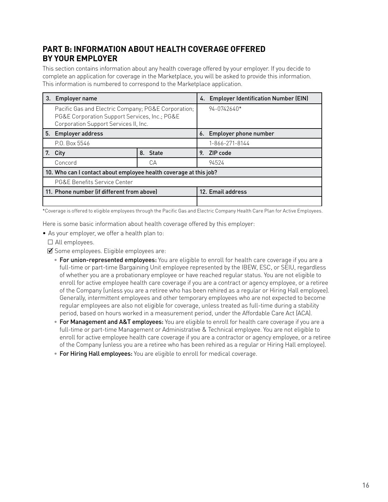## **PART B: INFORMATION ABOUT HEALTH COVERAGE OFFERED BY YOUR EMPLOYER**

This section contains information about any health coverage offered by your employer. If you decide to complete an application for coverage in the Marketplace, you will be asked to provide this information. This information is numbered to correspond to the Marketplace application.

|                                                                   | 3.<br><b>Employer name</b>                                                                                                                    |             |    | 4. Employer Identification Number (EIN) |  |
|-------------------------------------------------------------------|-----------------------------------------------------------------------------------------------------------------------------------------------|-------------|----|-----------------------------------------|--|
|                                                                   | Pacific Gas and Electric Company; PG&E Corporation;<br>PG&E Corporation Support Services, Inc.; PG&E<br>Corporation Support Services II, Inc. |             |    | 94-0742640*                             |  |
|                                                                   | 5. Employer address                                                                                                                           |             | 6. | Employer phone number                   |  |
|                                                                   | P.O. Box 5546                                                                                                                                 |             |    | 1-866-271-8144                          |  |
|                                                                   | 7. City                                                                                                                                       | State<br>8. | 9. | ZIP code                                |  |
|                                                                   | Concord                                                                                                                                       | CА          |    | 94524                                   |  |
| 10. Who can I contact about employee health coverage at this job? |                                                                                                                                               |             |    |                                         |  |
|                                                                   | PG&E Benefits Service Center                                                                                                                  |             |    |                                         |  |
|                                                                   | 11. Phone number (if different from above)                                                                                                    |             |    | 12. Email address                       |  |
|                                                                   |                                                                                                                                               |             |    |                                         |  |

\*Coverage is offered to eligible employees through the Pacific Gas and Electric Company Health Care Plan for Active Employees.

Here is some basic information about health coverage offered by this employer:

- As your employer, we offer a health plan to:
- $\square$  All employees.
- Some employees. Eligible employees are:
	- For union-represented employees: You are eligible to enroll for health care coverage if you are a full-time or part-time Bargaining Unit employee represented by the IBEW, ESC, or SEIU, regardless of whether you are a probationary employee or have reached regular status. You are not eligible to enroll for active employee health care coverage if you are a contract or agency employee, or a retiree of the Company (unless you are a retiree who has been rehired as a regular or Hiring Hall employee). Generally, intermittent employees and other temporary employees who are not expected to become regular employees are also not eligible for coverage, unless treated as full-time during a stability period, based on hours worked in a measurement period, under the Affordable Care Act (ACA).
	- For Management and A&T employees: You are eligible to enroll for health care coverage if you are a full-time or part-time Management or Administrative & Technical employee. You are not eligible to enroll for active employee health care coverage if you are a contractor or agency employee, or a retiree of the Company (unless you are a retiree who has been rehired as a regular or Hiring Hall employee).
	- For Hiring Hall employees: You are eligible to enroll for medical coverage.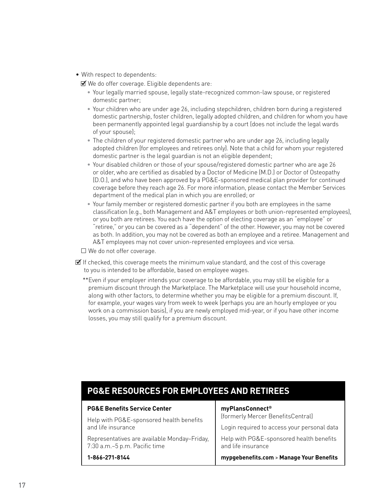• With respect to dependents:

We do offer coverage. Eligible dependents are:

- Your legally married spouse, legally state-recognized common-law spouse, or registered domestic partner;
- Your children who are under age 26, including stepchildren, children born during a registered domestic partnership, foster children, legally adopted children, and children for whom you have been permanently appointed legal guardianship by a court (does not include the legal wards of your spouse);
- The children of your registered domestic partner who are under age 26, including legally adopted children (for employees and retirees only). Note that a child for whom your registered domestic partner is the legal guardian is not an eligible dependent;
- Your disabled children or those of your spouse/registered domestic partner who are age 26 or older, who are certified as disabled by a Doctor of Medicine (M.D.) or Doctor of Osteopathy (D.O.), and who have been approved by a PG&E-sponsored medical plan provider for continued coverage before they reach age 26. For more information, please contact the Member Services department of the medical plan in which you are enrolled; or
- Your family member or registered domestic partner if you both are employees in the same classification (e.g., both Management and A&T employees or both union-represented employees), or you both are retirees. You each have the option of electing coverage as an "employee" or "retiree," or you can be covered as a "dependent" of the other. However, you may not be covered as both. In addition, you may not be covered as both an employee and a retiree. Management and A&T employees may not cover union-represented employees and vice versa.
- $\square$  We do not offer coverage.
- $\Delta$  If checked, this coverage meets the minimum value standard, and the cost of this coverage to you is intended to be affordable, based on employee wages.
	- \*\*Even if your employer intends your coverage to be affordable, you may still be eligible for a premium discount through the Marketplace. The Marketplace will use your household income, along with other factors, to determine whether you may be eligible for a premium discount. If, for example, your wages vary from week to week (perhaps you are an hourly employee or you work on a commission basis), if you are newly employed mid-year, or if you have other income losses, you may still qualify for a premium discount.

## **PG&E RESOURCES FOR EMPLOYEES AND RETIREES**

| <b>PG&amp;E Benefits Service Center</b>      | myPlansConnect <sup>®</sup>                 |  |  |
|----------------------------------------------|---------------------------------------------|--|--|
| Help with PG&E-sponsored health benefits     | (formerly Mercer BenefitsCentral)           |  |  |
| and life insurance                           | Login required to access your personal data |  |  |
| Representatives are available Monday-Friday, | Help with PG&E-sponsored health benefits    |  |  |
| 7:30 a.m.-5 p.m. Pacific time                | and life insurance                          |  |  |
| 1-866-271-8144                               | mypgebenefits.com > Manage Your Benefits    |  |  |